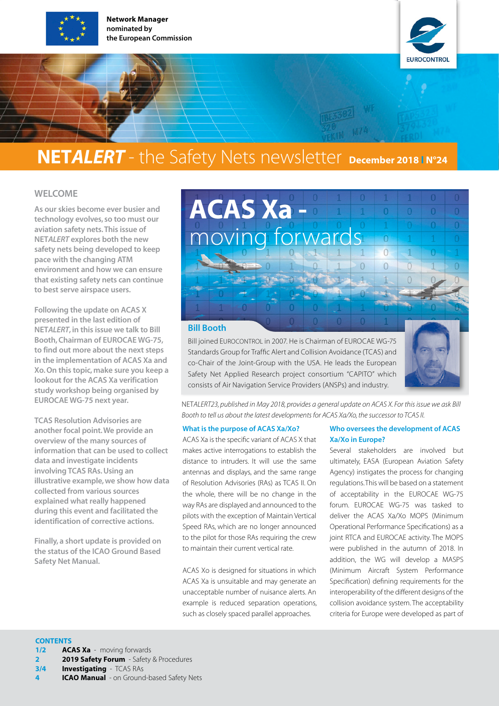

Network Manager nominated by the European Commission



### **NETALERT** - the Safety Nets newsletter December 2018 IN°24

#### WELCOME

As our skies become ever busier and technology evolves, so too must our aviation safety nets. This issue of NET*ALERT* explores both the new safety nets being developed to keep pace with the changing ATM environment and how we can ensure that existing safety nets can continue to best serve airspace users.

Following the update on ACAS X presented in the last edition of NET*ALERT*, in this issue we talk to Bill Booth, Chairman of EUROCAE WG-75, to find out more about the next steps in the implementation of ACAS Xa and Xo. On this topic, make sure you keep a lookout for the ACAS Xa verification study workshop being organised by EUROCAE WG-75 next year.

TCAS Resolution Advisories are another focal point. We provide an overview of the many sources of information that can be used to collect data and investigate incidents involving TCAS RAs. Using an illustrative example, we show how data collected from various sources explained what really happened during this event and facilitated the identification of corrective actions.

Finally, a short update is provided on the status of the ICAO Ground Based Safety Net Manual.

#### ACAS Xa -  $\overline{0}$  $\overline{0}$  $\Omega$ moving forward  $\Omega$  $\Omega$  $\overline{1}$  $\cap$  $\overline{0}$  $\overline{0}$  $\cap$  $\Omega$  $-6$  $0 - 1$  $\Omega$  $\sqrt{1}$  $\overline{1}$  $\overline{0}$

#### Bill Booth

Bill joined EUROCONTROL in 2007. He is Chairman of EUROCAE WG-75 Standards Group for Traffic Alert and Collision Avoidance (TCAS) and co-Chair of the Joint-Group with the USA. He leads the European Safety Net Applied Research project consortium "CAPITO" which consists of Air Navigation Service Providers (ANSPs) and industry.



 $\overline{0}$ 

 $\overline{0}$ 

 $\overline{0}$ 

NET*ALERT23, published in May 2018, provides a general update on ACAS X. For this issue we ask Bill Booth to tell us about the latest developments for ACAS Xa/Xo, the successor to TCAS II.*

#### What is the purpose of ACAS Xa/Xo?

ACAS Xa is the specific variant of ACAS X that makes active interrogations to establish the distance to intruders. It will use the same antennas and displays, and the same range of Resolution Advisories (RAs) as TCAS II. On the whole, there will be no change in the way RAs are displayed and announced to the pilots with the exception of Maintain Vertical Speed RAs, which are no longer announced to the pilot for those RAs requiring the crew to maintain their current vertical rate.

ACAS Xo is designed for situations in which ACAS Xa is unsuitable and may generate an unacceptable number of nuisance alerts. An example is reduced separation operations, such as closely spaced parallel approaches.

#### Who oversees the development of ACAS Xa/Xo in Europe?

Several stakeholders are involved but ultimately, EASA (European Aviation Safety Agency) instigates the process for changing regulations. This will be based on a statement of acceptability in the EUROCAE WG-75 forum. EUROCAE WG-75 was tasked to deliver the ACAS Xa/Xo MOPS (Minimum Operational Performance Specifications) as a joint RTCA and EUROCAE activity. The MOPS were published in the autumn of 2018. In addition, the WG will develop a MASPS (Minimum Aircraft System Performance Specification) defining requirements for the interoperability of the different designs of the collision avoidance system. The acceptability criteria for Europe were developed as part of

**ICAO Manual** - on Ground-based Safety Nets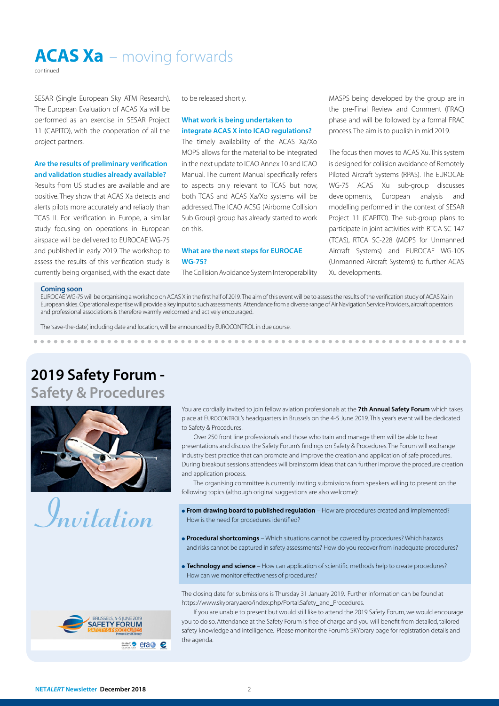ACAS Xa – moving forwards

continued

SESAR (Single European Sky ATM Research). The European Evaluation of ACAS Xa will be performed as an exercise in SESAR Project 11 (CAPITO), with the cooperation of all the project partners.

#### Are the results of preliminary verification and validation studies already available?

Results from US studies are available and are positive. They show that ACAS Xa detects and alerts pilots more accurately and reliably than TCAS II. For verification in Europe, a similar study focusing on operations in European airspace will be delivered to EUROCAE WG-75 and published in early 2019. The workshop to assess the results of this verification study is currently being organised, with the exact date to be released shortly.

#### What work is being undertaken to integrate ACAS X into ICAO regulations?

The timely availability of the ACAS Xa/Xo MOPS allows for the material to be integrated in the next update to ICAO Annex 10 and ICAO Manual. The current Manual specifically refers to aspects only relevant to TCAS but now, both TCAS and ACAS Xa/Xo systems will be addressed. The ICAO ACSG (Airborne Collision Sub Group) group has already started to work on this.

#### What are the next steps for EUROCAE WG-75?

The Collision Avoidance System Interoperability

MASPS being developed by the group are in the pre-Final Review and Comment (FRAC) phase and will be followed by a formal FRAC process. The aim is to publish in mid 2019.

The focus then moves to ACAS Xu. This system is designed for collision avoidance of Remotely Piloted Aircraft Systems (RPAS). The EUROCAE WG-75 ACAS Xu sub-group discusses developments, European analysis and modelling performed in the context of SESAR Project 11 (CAPITO). The sub-group plans to participate in joint activities with RTCA SC-147 (TCAS), RTCA SC-228 (MOPS for Unmanned Aircraft Systems) and EUROCAE WG-105 (Unmanned Aircraft Systems) to further ACAS Xu developments.

#### Coming soon

EUROCAE WG-75 will be organising a workshop on ACAS X in the first half of 2019. The aim of this event will be to assess the results of the verification study of ACAS Xa in European skies. Operational expertise will provide a key input to such assessments. Attendance from a diverse range of Air Navigation Service Providers, aircraft operators and professional associations is therefore warmly welcomed and actively encouraged.

The 'save-the-date', including date and location, will be announced by EUROCONTROL in due course.

### 2019 Safety Forum - Safety & Procedures





You are cordially invited to join fellow aviation professionals at the 7th Annual Safety Forum which takes place at EUROCONTROL's headquarters in Brussels on the 4-5 June 2019. This year's event will be dedicated to Safety & Procedures.

Over 250 front line professionals and those who train and manage them will be able to hear presentations and discuss the Safety Forum's findings on Safety & Procedures. The Forum will exchange industry best practice that can promote and improve the creation and application of safe procedures. During breakout sessions attendees will brainstorm ideas that can further improve the procedure creation and application process.

The organising committee is currently inviting submissions from speakers willing to present on the following topics (although original suggestions are also welcome):

- **From drawing board to published regulation** How are procedures created and implemented? How is the need for procedures identified?
- **Procedural shortcomings** Which situations cannot be covered by procedures? Which hazards and risks cannot be captured in safety assessments? How do you recover from inadequate procedures?
- **Technology and science** How can application of scientific methods help to create procedures? How can we monitor effectiveness of procedures?

The closing date for submissions is Thursday 31 January 2019. Further information can be found at https://www.skybrary.aero/index.php/Portal:Safety\_and\_Procedures.

If you are unable to present but would still like to attend the 2019 Safety Forum, we would encourage you to do so. Attendance at the Safety Forum is free of charge and you will benefit from detailed, tailored safety knowledge and intelligence. Please monitor the Forum's SKYbrary page for registration details and the agenda.

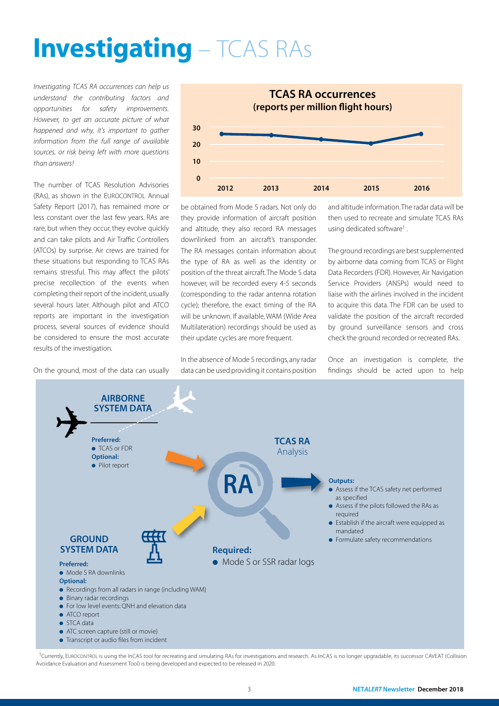# **Investigating** – TCAS RAs

*Investigating TCAS RA occurrences can help us understand the contributing factors and opportunities for safety improvements. However, to get an accurate picture of what happened and why, it's important to gather information from the full range of available sources, or risk being left with more questions than answers!* 

The number of TCAS Resolution Advisories (RAs), as shown in the EUROCONTROL Annual Safety Report (2017), has remained more or less constant over the last few years. RAs are rare, but when they occur, they evolve quickly and can take pilots and Air Traffic Controllers (ATCOs) by surprise. Air crews are trained for these situations but responding to TCAS RAs remains stressful. This may affect the pilots' precise recollection of the events when completing their report of the incident, usually several hours later. Although pilot and ATCO reports are important in the investigation process, several sources of evidence should be considered to ensure the most accurate results of the investigation.

On the ground, most of the data can usually



be obtained from Mode S radars. Not only do they provide information of aircraft position and altitude, they also record RA messages downlinked from an aircraft's transponder. The RA messages contain information about the type of RA as well as the identity or position of the threat aircraft. The Mode S data however, will be recorded every 4-5 seconds (corresponding to the radar antenna rotation cycle); therefore, the exact timing of the RA will be unknown. If available, WAM (Wide Area Multilateration) recordings should be used as their update cycles are more frequent.

In the absence of Mode S recordings, any radar data can be used providing it contains position and altitude information. The radar data will be then used to recreate and simulate TCAS RAs using dedicated software<sup>1</sup>.

The ground recordings are best supplemented by airborne data coming from TCAS or Flight Data Recorders (FDR). However, Air Navigation Service Providers (ANSPs) would need to liaise with the airlines involved in the incident to acquire this data. The FDR can be used to validate the position of the aircraft recorded by ground surveillance sensors and cross check the ground recorded or recreated RAs.

Once an investigation is complete, the findings should be acted upon to help



<sup>1</sup>Currently, EUROCONTROL is using the InCAS tool for recreating and simulating RAs for investigations and research. As InCAS is no longer upgradable, its successor CAVEAT (Collision Avoidance Evaluation and Assessment Tool) is being developed and expected to be released in 2020.